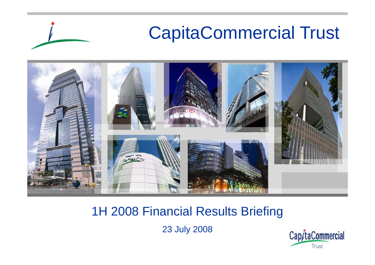

#### 1H 2008 Financial Results Briefing

23 July 2008

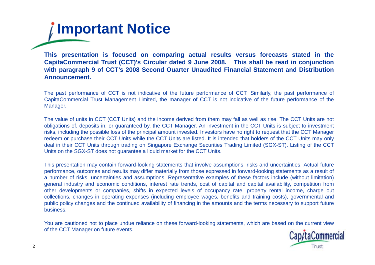# **Important Notice**

This presentation is focused on comparing actual results versus forecasts stated in the CapitaCommercial Trust (CCT)'s Circular dated 9 June 2008. This shall be read in conjunction with paragraph 9 of CCT's 2008 Second Quarter Unaudited Financial Statement and Distribution **Announcement.**

The past performance of CCT is not indicative of the future performance of CCT. Similarly, the past performance of CapitaCommercial Trust Management Limited, the manager of CCT is not indicative of the future performance of the Manager.

The value of units in CCT (CCT Units) and the income derived from them may fall as well as rise. The CCT Units are not obligations of, deposits in, or guaranteed by, the CCT Manager. An investment in the CCT Units is subject to investment risks, including the possible loss of the principal amount invested. Investors have no right to request that the CCT Manager redeem or purchase their CCT Units while the CCT Units are listed. It is intended that holders of the CCT Units may only deal in their CCT Units through trading on Singapore Exchange Securities Trading Limited (SGX-ST). Listing of the CCT Units on the SGX-ST does not guarantee <sup>a</sup> liquid market for the CCT Units.

This presentation may contain forward-looking statements that involve assumptions, risks and uncertainties. Actual future performance, outcomes and results may differ materially from those expressed in forward-looking statements as <sup>a</sup> result of <sup>a</sup> number of risks, uncertainties and assumptions. Representative examples of these factors include (without limitation) general industry and economic conditions, interest rate trends, cost of capital and capital availability, competition from other developments or companies, shifts in expected levels of occupancy rate, property rental income, charge out collections, changes in operating expenses (including employee wages, benefits and training costs), governmental and public policy changes and the continued availability of financing in the amounts and the terms necessary to support future business.

You are cautioned not to place undue reliance on these forward-looking statements, which are based on the current view of the CCT Manager on future events.

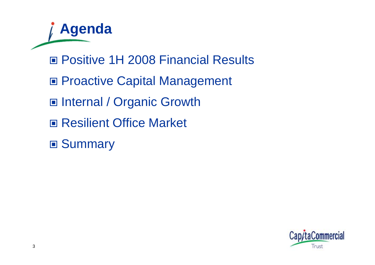**Agenda** Positive 1H 2008 Financial Results ■ Proactive Capital Management ■ Internal / Organic Growth ■ Resilient Office Market

■ Summary

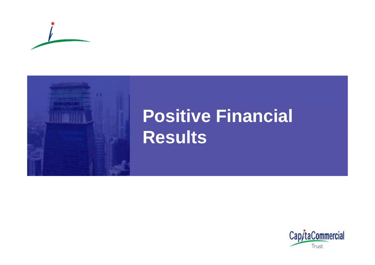



# **Positive Financial R lt esu s**

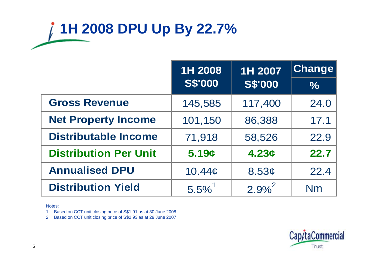# **1H 2008 DPU Up By 22.7%**

|                              | 1H 2008<br>1H 2007   |                   | Change        |
|------------------------------|----------------------|-------------------|---------------|
|                              | <b>S\$'000</b>       | <b>S\$'000</b>    | $\frac{1}{2}$ |
| <b>Gross Revenue</b>         | 145,585              | 117,400           | 24.0          |
| <b>Net Property Income</b>   | 101,150              | 86,388            | 17.1          |
| <b>Distributable Income</b>  | 71,918               | 58,526            | 22.9          |
| <b>Distribution Per Unit</b> | 5.19c                | 4.23c             | 22.7          |
| <b>Annualised DPU</b>        | 10.44 <sub>c</sub>   | 8.53 <sub>c</sub> | 22.4          |
| <b>Distribution Yield</b>    | $5.5\%$ <sup>1</sup> | $2.9%^{2}$        | <b>Nm</b>     |

Notes:

1. Based on CCT unit closing price of S\$1.91 as at 30 June 2008

2. Based on CCT unit closing price of S\$2.93 as at 29 June 2007

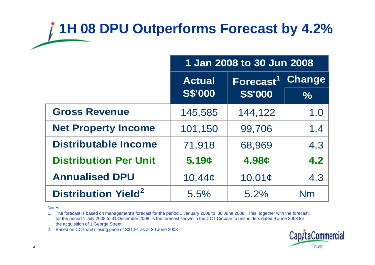### **1H 08 DPU Outperforms Forecast by 4.2%**

|                                       | 1 Jan 2008 to 30 Jun 2008 |                                  |               |  |
|---------------------------------------|---------------------------|----------------------------------|---------------|--|
|                                       | <b>Actual</b>             | Forecast <sup>1</sup>            | <b>Change</b> |  |
|                                       |                           | <b>S\$'000</b><br><b>S\$'000</b> |               |  |
| <b>Gross Revenue</b>                  | 145,585                   | 144,122                          | 1.0           |  |
| <b>Net Property Income</b>            | 101,150                   | 99,706                           | 1.4           |  |
| <b>Distributable Income</b>           | 71,918                    | 68,969                           | 4.3           |  |
| <b>Distribution Per Unit</b>          | 5.19c                     | 4.98¢                            | 4.2           |  |
| <b>Annualised DPU</b>                 | 10.44 <sub>¢</sub>        | 10.01c                           | 4.3           |  |
| <b>Distribution Yield<sup>2</sup></b> | 5.5%<br>5.2%<br>Nm        |                                  |               |  |

Notes:

1. The forecast is based on management's forecast for the period 1 January 2008 to 30 June 2008. This, together with the forecast for the period 1 July 2008 to 31 December 2008, is the forecast shown in the CCT Circular to unitholders dated 9 June 2008 for the acquisition of 1 George Street **5.5%**<br>Notes:<br>1. The forecast is based on management's forecast for the period 1 January 2008 to 30 June 2008. This, toget<br>1. The forecast is based on management's forecast for the period 1 January 2008 to 30 June 2008. Th

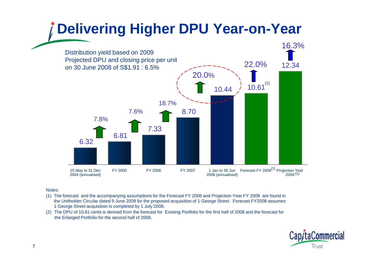### **Delivering Higher DPU Year-on-Year**



#### Notes:

- (1) The forecast and the accompanying assumptions for the Forecast FY 2008 and Projection Year FY 2009 are found in the Unitholder Circular dated 9 June 2008 for the proposed acquisition of 1 George Street. Forecast FY2008 assumes 1 George Street acquisition is completed by 1 July 2008.
- (2) The DPU of 10.61 cents is derived from the forecast for Existing Portfolio for the first half of 2008 and the forecast for the Enlarged Portfolio for the second half of 2008.

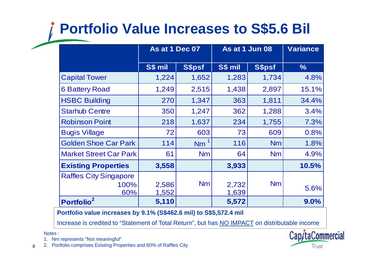### **Portfolio Value Increases to S\$5.6 Bil**

|                               | As at 1 Dec 07 |               | As at 1 Jun 08 | <b>Variance</b> |               |
|-------------------------------|----------------|---------------|----------------|-----------------|---------------|
|                               | S\$ mil        | <b>S\$psf</b> | S\$ mil        | S\$psf          | $\frac{9}{6}$ |
| <b>Capital Tower</b>          | 1,224          | 1,652         | 1,283          | 1,734           | 4.8%          |
| <b>6 Battery Road</b>         | 1,249          | 2,515         | 1,438          | 2,897           | 15.1%         |
| <b>HSBC Building</b>          | 270            | 1,347         | 363            | 1,811           | 34.4%         |
| <b>Starhub Centre</b>         | 350            | 1,247         | 362            | 1,288           | 3.4%          |
| <b>Robinson Point</b>         | 218            | 1,637         | 234            | 1,755           | 7.3%          |
| <b>Bugis Village</b>          | 72             | 603           | 73             | 609             | 0.8%          |
| <b>Golden Shoe Car Park</b>   | 114            | <b>Nm</b>     | 116            | <b>Nm</b>       | 1.8%          |
| <b>Market Street Car Park</b> | 61             | <b>Nm</b>     | 64             | <b>Nm</b>       | 4.9%          |
| <b>Existing Properties</b>    | 3,558          |               | 3,933          |                 | 10.5%         |
| <b>Raffles City Singapore</b> |                |               |                |                 |               |
| 100%                          | 2,586          | <b>Nm</b>     | 2,732          | <b>Nm</b>       | 5.6%          |
| 60%                           | 1,552          |               | 1,639          |                 |               |
| Portfolio <sup>2</sup>        | 5,110          |               | 5,572          |                 | 9.0%          |

**Portfolio value increases by 9.1% (S\$462.6 mil) to S\$5,572.4 mil**

Increase is credited to "Statement of Total Return", but has <u>NO IMPACT</u> on distributable income

Notes :

1. Nm represents "Not meaningful"



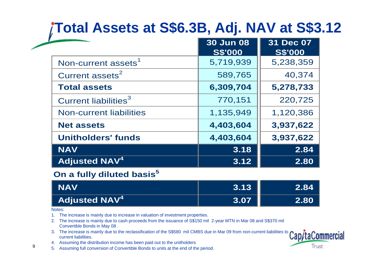### **Total Assets at S\$6.3B, Adj. NAV at S\$3.12**

|                                  | <b>30 Jun 08</b><br><b>S\$'000</b> | 31 Dec 07<br><b>S\$'000</b> |
|----------------------------------|------------------------------------|-----------------------------|
| Non-current assets <sup>1</sup>  | 5,719,939                          | 5,238,359                   |
| Current assets <sup>2</sup>      | 589,765                            | 40,374                      |
| <b>Total assets</b>              | 6,309,704                          | 5,278,733                   |
| Current liabilities <sup>3</sup> | 770,151                            | 220,725                     |
| <b>Non-current liabilities</b>   | 1,135,949                          | 1,120,386                   |
| <b>Net assets</b>                | 4,403,604                          | 3,937,622                   |
| <b>Unitholders' funds</b>        | 4,403,604                          | 3,937,622                   |
| <b>NAV</b>                       | 3.18                               | 2.84                        |
| <b>Adjusted NAV<sup>4</sup></b>  | 3.12                               | 2.80                        |

#### **On a fully diluted basis 5**

| <b>NAV</b>                      | 3.13        | <b>\2.84\</b> |
|---------------------------------|-------------|---------------|
| <b>Adjusted NAV<sup>4</sup></b> | <b>3.07</b> | 2.80          |

Notes:

- 1. The increase is mainly due to increase in valuation of investment properties.
- 2. The increase is mainly due to cash proceeds from the issuance of S\$150 mil 2-year MTN in Mar 08 and S\$370 mil Convertible Bonds in May 08 .
- 3. The increase is mainly due to the reclassification of the S\$580 mil CMBS due in Mar 09 from non-current liabilities to current liabilities.
- 4. Assuming the distribution income has been paid out to the unitholders
- 5. Assuming full conversion of Convertible Bonds to units at the end of the period.

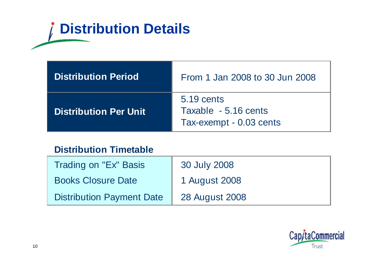# **Distribution Details**

| <b>Distribution Period</b>   | From 1 Jan 2008 to 30 Jun 2008                                |
|------------------------------|---------------------------------------------------------------|
| <b>Distribution Per Unit</b> | 5.19 cents<br>Taxable - 5.16 cents<br>Tax-exempt - 0.03 cents |

#### **Distribution Timetable**

| Trading on "Ex" Basis            | 30 July 2008          |
|----------------------------------|-----------------------|
| <b>Books Closure Date</b>        | 1 August 2008         |
| <b>Distribution Payment Date</b> | <b>28 August 2008</b> |

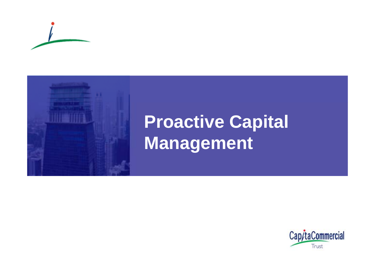



# **Proactive Capital Management**

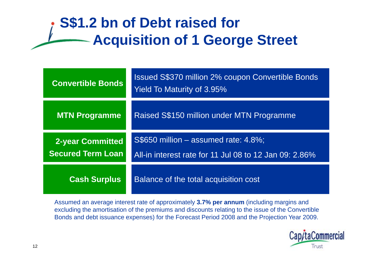### **S\$1.2 bn of Debt raised for Acquisition of 1 George Street**

| <b>Convertible Bonds</b>                            | <b>Issued S\$370 million 2% coupon Convertible Bonds</b><br><b>Yield To Maturity of 3.95%</b>     |
|-----------------------------------------------------|---------------------------------------------------------------------------------------------------|
| <b>MTN Programme</b>                                | Raised S\$150 million under MTN Programme                                                         |
| <b>2-year Committed</b><br><b>Secured Term Loan</b> | $S$650$ million $-$ assumed rate: 4.8%;<br>All-in interest rate for 11 Jul 08 to 12 Jan 09: 2.86% |
| <b>Cash Surplus</b>                                 | Balance of the total acquisition cost                                                             |

Assumed an average interest rate of approximately **3.7% per annum** (including margins and excluding the amortisation of the premiums and discounts relating to the issue of the Convertible Bonds and debt issuance expenses) for the Forecast Period 2008 and the Projection Year 2009.

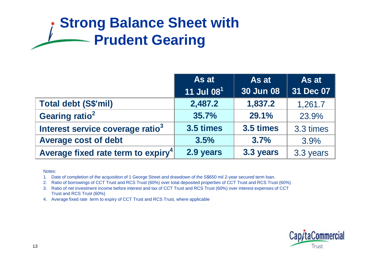### **Strong Balance Sheet with Prudent Gearing**

|                                                | As at                  | As at            | As at     |
|------------------------------------------------|------------------------|------------------|-----------|
|                                                | 11 Jul 08 <sup>1</sup> | <b>30 Jun 08</b> | 31 Dec 07 |
| <b>Total debt (S\$'mil)</b>                    | 2,487.2                | 1,837.2          | 1,261.7   |
| Gearing ratio <sup>2</sup>                     | 35.7%                  | 29.1%            | 23.9%     |
| Interest service coverage ratio <sup>3</sup>   | 3.5 times              | 3.5 times        | 3.3 times |
| <b>Average cost of debt</b>                    | 3.5%                   | 3.7%             | 3.9%      |
| Average fixed rate term to expiry <sup>4</sup> | 2.9 years              | 3.3 years        | 3.3 years |

Notes:

1. Date of completion of the acquisition of 1 George Street and drawdown of the S\$650 mil 2-year secured term loan.

2. Ratio of borrowings of CCT Trust and RCS Trust (60%) over total deposited properties of CCT Trust and RCS Trust (60%)

3. Ratio of net investment income before interest and tax of CCT Trust and RCS Trust (60%) over interest expenses of CCT Trust and RCS Trust (60%)

4. Average fixed rate term to expiry of CCT Trust and RCS Trust, where applicable

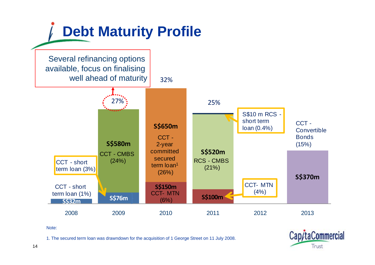

Note:

1. The secured term loan was drawndown for the acquisition of 1 George Street on 11 July 2008.

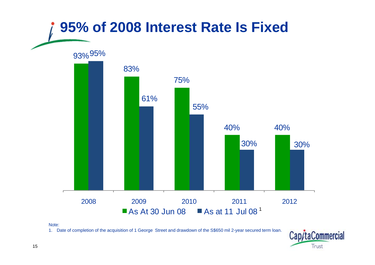

Note:

1. Date of completion of the acquisition of 1 George Street and drawdown of the S\$650 mil 2-year secured term loan.

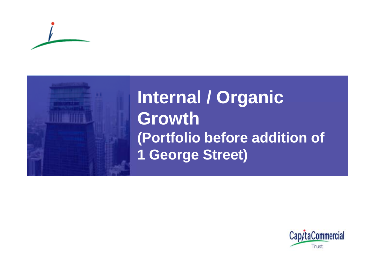



**Internal / Organic Growth (P f li b f ddi i f (Port olio e fore addi tion o 1 Geor g ) e Street**

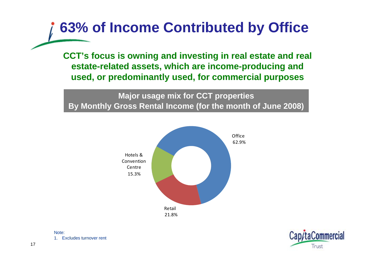### **63% of Income Contributed by Office**

**CCT's focus is owning and investing in real estate and real estate-related assets, which are income-producing and used, or predominantly used, for commercial purposes**

**Major usage mix for CCT properties By Monthly Gross Rental Income (for the month of June 2008)**



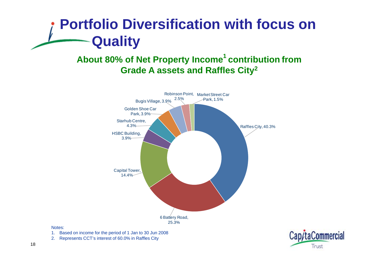### **Portfolio Diversification with focus on Quality**

#### **About 80% of Net Property Income<sup>1</sup> contribution from Grade A assets and Raffles City 2**



#### Notes:

- 1. Based on income for the period of 1 Jan to 30 Jun 2008
- 2. Represents CCT's interest of 60.0% in Raffles City

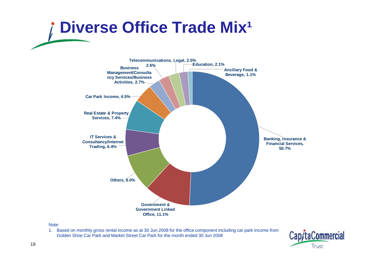# **Diverse Office Trade Mix<sup>1</sup>**



#### Note:

1. Based on monthly gross rental income as at 30 Jun 2008 for the office component including car park income from Golden Shoe Car Park and Market Street Car Park for the month ended 30 Jun 2008

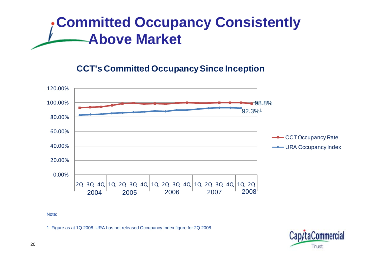### **Committed Occupancy Consistently Above Market Above**

#### **CCT's Committed Occu panc y Since Ince ption py p**



Note:

1. Figure as at 1Q 2008. URA has not released Occupancy Index figure for 2Q 2008

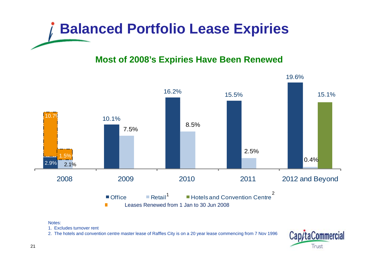

#### **Most of 2008's Expiries Have Been Renewed**



#### Notes:

1. Excludes turnover rent

2. The hotels and convention centre master lease of Raffles City is on a 20 year lease commencing from 7 Nov 1996

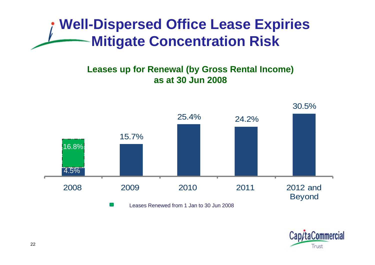### **Well-Dispersed Office Lease Expiries Mitigate Concentration Risk Risk**

#### Leases up for Renewal (by Gross Rental Income) **as at 30 Jun 2008**



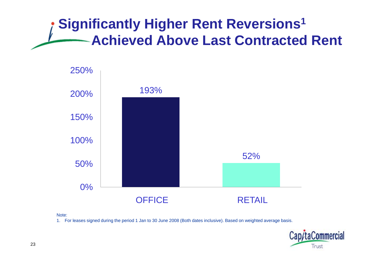### **Significantly Higher Rent Reversions 1 Achieved Above Last Contracted Rent**



#### Note:

1. For leases signed during the period 1 Jan to 30 June 2008 (Both dates inclusive). Based on weighted average basis.

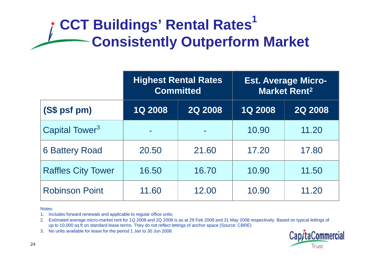### **CCT Buildings' Rental Rates<sup>1</sup> Consistently Outperform Market**

|                                                                                                                                                                                                                                                                                                                                                                                                                       | <b>Highest Rental Rates</b><br><b>Committed</b> |                | <b>Est. Average Micro-</b><br><b>Market Rent<sup>2</sup></b> |                |  |
|-----------------------------------------------------------------------------------------------------------------------------------------------------------------------------------------------------------------------------------------------------------------------------------------------------------------------------------------------------------------------------------------------------------------------|-------------------------------------------------|----------------|--------------------------------------------------------------|----------------|--|
| (S\$ psf pm)                                                                                                                                                                                                                                                                                                                                                                                                          | <b>1Q 2008</b>                                  | <b>2Q 2008</b> | <b>1Q 2008</b>                                               | <b>2Q 2008</b> |  |
| Capital Tower <sup>3</sup>                                                                                                                                                                                                                                                                                                                                                                                            |                                                 |                | 10.90                                                        | 11.20          |  |
| <b>6 Battery Road</b>                                                                                                                                                                                                                                                                                                                                                                                                 | 20.50                                           | 21.60          | 17.20                                                        | 17.80          |  |
| <b>Raffles City Tower</b>                                                                                                                                                                                                                                                                                                                                                                                             | 16.50                                           | 16.70          | 10.90                                                        | 11.50          |  |
| <b>Robinson Point</b>                                                                                                                                                                                                                                                                                                                                                                                                 | 11.60                                           | 12.00          | 10.90                                                        | 11.20          |  |
| Notes:<br>Includes forward renewals and applicable to regular office units.<br>1.<br>Estimated average micro-market rent for 1Q 2008 and 2Q 2008 is as at 29 Feb 2008 and 31 May 2008 respectively. Based on typical lettings of<br>up to 10,000 sq ft on standard lease terms. They do not reflect lettings of anchor space (Source: CBRE)<br>No units available for lease for the period 1 Jan to 30 Jun 2008<br>3. |                                                 |                |                                                              | Tax cash       |  |

- 1. Includes forward renewals and applicable to regular office units.
- 2. Estimated average micro-market rent for 1Q 2008 and 2Q 2008 is as at 29 Feb 2008 and 31 May 2008 respectively. Based on typical lettings of up to 10,000 sq ft on standard lease terms. They do not reflect lettings of anchor space (Source: CBRE)
- 3. No units available for lease for the period 1 Jan to 30 Jun 2008

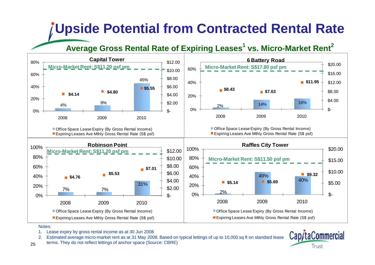### **Upside Potential from Contracted Rental Rate**

#### **Average Gross Rental Rate of Expiring Leases<sup>1</sup> vs. Micro-Market Rent 2**



Notes:

- 1. Lease expiry by gross rental income as at 30 Jun 2008
- 2. Estimated average micro-market rent as at 31 May 2008. Based on typical lettings of up to 10,000 sq ft on standard lease
- 25terms. They do not reflect lettings of anchor space (Source: CBRE)

Cap/taCommercial Trust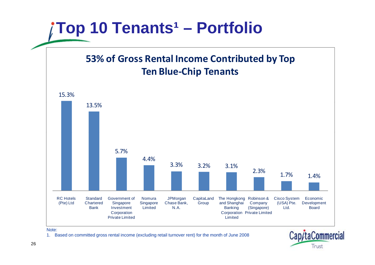

Note:

1. Based on committed gross rental income (excluding retail turnover rent) for the month of June 2008

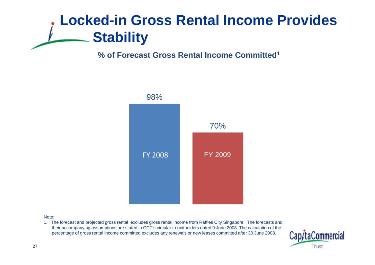### **Locked-in Gross Rental Income Provides Stability**

#### **% of Forecast Gross Rental Income Committed1**



#### Note:

1. The forecast and projected gross rental excludes gross rental income from Raffles City Singapore. The forecasts and their accompanying assumptions are stated in CCT's circular to unitholders dated 9 June 2008. The calculation of the percentage of gross rental income committed excludes any renewals or new leases committed after 30 June 2008.

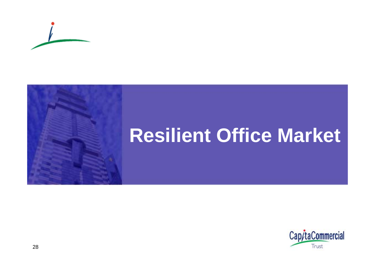

# **Resilient Office Market**

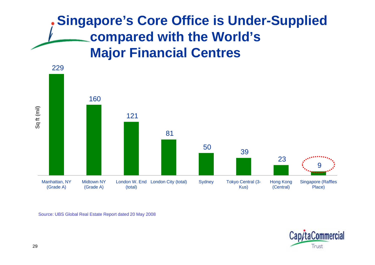#### **Singapore's Core Office is Under-Supplied com pared with the World's Major Financial Centres**



Source: UBS Global Real Estate Report dated 20 May 2008

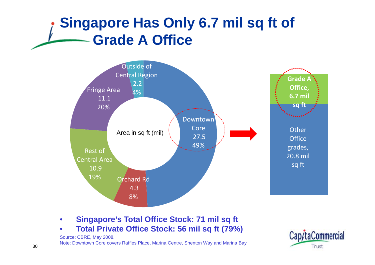### **Singapore Has Only 6.7 mil sq ft of Grade A Office**



- •• Singapore's Total Office Stock: 71 mil sq ft
- •**Total Private Office Stock: 56 mil sq ft (79%)**



Source: CBRE, May 2008. Note: Downtown Core covers Raffles Place, Marina Centre, Shenton Way and Marina Bay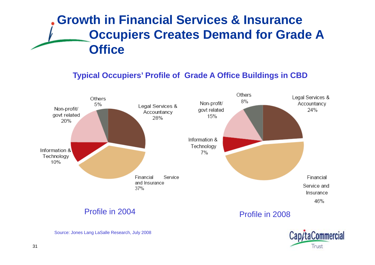#### **Growth in Financial Services & Insurance Occupiers Creates Demand for Grade A Office**

#### **Typical O f f G Off C Occupiers' Pro file o Grade A Office Buildings in CBD**





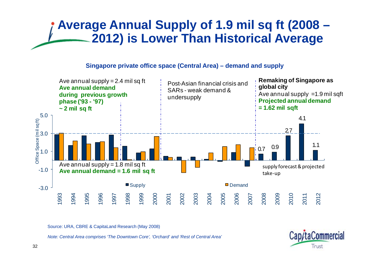#### **Average Annual Supply of 1.9 mil sq ft (2008 – 2012) is Lower Than Historical Average**

#### **Singapore private office space (Central Area) – demand and supply**



Source: URA, CBRE & CapitaLand Research (May 2008)

*Note: Central Area comprises 'The Downtown Core', 'Orchard' and 'Rest of Central Area'*

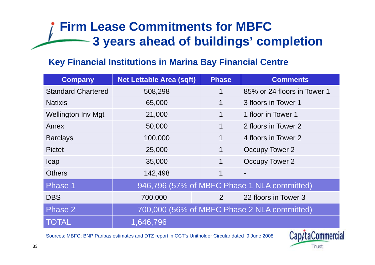#### **Firm Lease Commitments for MBFC 3 years ahead of buildings buildings' completion**

#### **Key Financial Institutions in Marina Bay Financial Centre**

| <b>Company</b>            | <b>Net Lettable Area (sqft)</b>             | <b>Phase</b>   | <b>Comments</b>                             |  |
|---------------------------|---------------------------------------------|----------------|---------------------------------------------|--|
| <b>Standard Chartered</b> | 508,298                                     | 1              | 85% or 24 floors in Tower 1                 |  |
| <b>Natixis</b>            | 65,000                                      | $\mathbf 1$    | 3 floors in Tower 1                         |  |
| <b>Wellington Inv Mgt</b> | 21,000                                      | 1              | 1 floor in Tower 1                          |  |
| Amex                      | 50,000                                      | $\mathbf 1$    | 2 floors in Tower 2                         |  |
| <b>Barclays</b>           | 100,000                                     | $\mathbf 1$    | 4 floors in Tower 2                         |  |
| <b>Pictet</b>             | 25,000                                      | 1              | Occupy Tower 2                              |  |
| <b>Icap</b>               | 35,000                                      | $\mathbf 1$    | Occupy Tower 2                              |  |
| <b>Others</b>             | 142,498                                     | 1              | $\blacksquare$                              |  |
| Phase 1                   |                                             |                | 946,796 (57% of MBFC Phase 1 NLA committed) |  |
| <b>DBS</b>                | 700,000                                     | $\overline{2}$ | 22 floors in Tower 3                        |  |
| Phase 2                   | 700,000 (56% of MBFC Phase 2 NLA committed) |                |                                             |  |
| <b>TOTAL</b>              | 1,646,796                                   |                |                                             |  |

1,646,796Sources: MBFC; BNP Paribas estimates and DTZ report in CCT's Unitholder Circular dated 9 June 2008

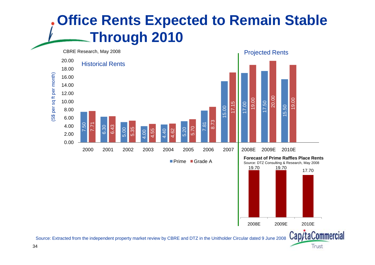### **Office Rents Expected to Remain Stable Throug 0 0 h 2 1**





Cap/taCommercial

Trust

Source: Extracted from the independent property market review by CBRE and DTZ in the Unitholder Circular dated 9 June 2008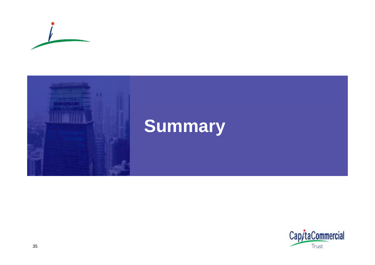



# **Summary**

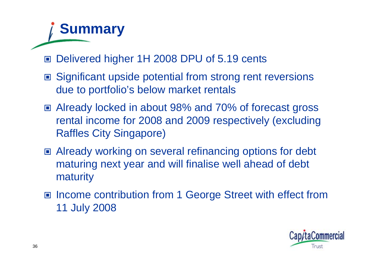## **Summary**

- Delivered higher 1H 2008 DPU of 5.19 cents
- Significant upside potential from strong rent reversions due to portfolio's below market rentals
- Already locked in about 98% and 70% of forecast gross rental income for 2008 and 2009 respectively (excluding Raffles City Singapore)
- Already working on several refinancing options for debt maturing next year and will finalise well ahead of debt maturity
- Income contribution from 1 George Street with effect from 11 July 2008

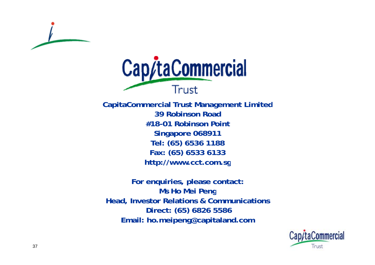



**C it C i l CapitaCommercialT t M t Li it d Trust Management Limited 39 Robinson Road#18-01 Robinson PointSingapore 068911 Tel: (65) 6536 1188 Fax: (65) 6533 6133 http://www cct com sg http://www.cct.com.sg**

**For enquiries, please contact: Ms Ho Mei Peng Head, Investor Relations & Communications Direct: (65) 6826 5586 Email: ho.meipeng@capitaland.com : . p g@ p .**

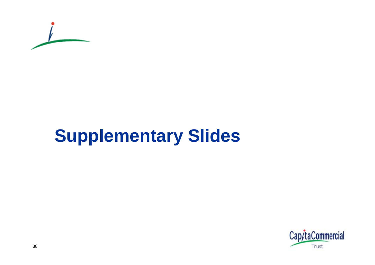

# **Supplementary Slides**

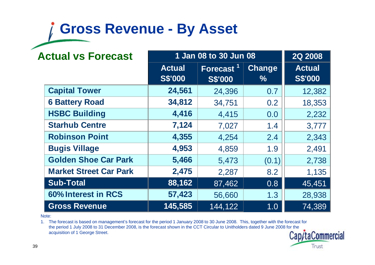### **Gross Revenue - By Asset**

| <b>Actual vs Forecast</b><br>1 Jan 08 to 30 Jun 08 |                                 |                                         |                                | 2Q 2008                         |
|----------------------------------------------------|---------------------------------|-----------------------------------------|--------------------------------|---------------------------------|
|                                                    | <b>Actual</b><br><b>S\$'000</b> | Forecast <sup>1</sup><br><b>S\$'000</b> | <b>Change</b><br>$\frac{9}{6}$ | <b>Actual</b><br><b>S\$'000</b> |
| <b>Capital Tower</b>                               | 24,561                          | 24,396                                  | 0.7                            | 12,382                          |
| <b>6 Battery Road</b>                              | 34,812                          | 34,751                                  | 0.2                            | 18,353                          |
| <b>HSBC Building</b>                               | 4,416                           | 4,415                                   | 0.0                            | 2,232                           |
| <b>Starhub Centre</b>                              | 7,124                           | 7,027                                   | 1.4                            | 3,777                           |
| <b>Robinson Point</b>                              | 4,355                           | 4,254                                   | 2.4                            | 2,343                           |
| <b>Bugis Village</b>                               | 4,953                           | 4,859                                   | 1.9                            | 2,491                           |
| <b>Golden Shoe Car Park</b>                        | 5,466                           | 5,473                                   | (0.1)                          | 2,738                           |
| <b>Market Street Car Park</b>                      | 2,475                           | 2,287                                   | 8.2                            | 1,135                           |
| <b>Sub-Total</b>                                   | 88,162                          | 87,462                                  | 0.8                            | 45,451                          |
| 60% Interest in RCS                                | 57,423                          | 56,660                                  | 1.3                            | 28,938                          |
| <b>Gross Revenue</b>                               | 145,585                         | 144,122                                 | 1.0                            | 74,389                          |

Note:

1. The forecast is based on management's forecast for the period 1 January 2008 to 30 June 2008. This, together with the forecast for the period 1 July 2008 to 31 December 2008, is the forecast shown in the CCT Circular to Unitholders dated 9 June 2008 for the acquisition of 1 George Street.